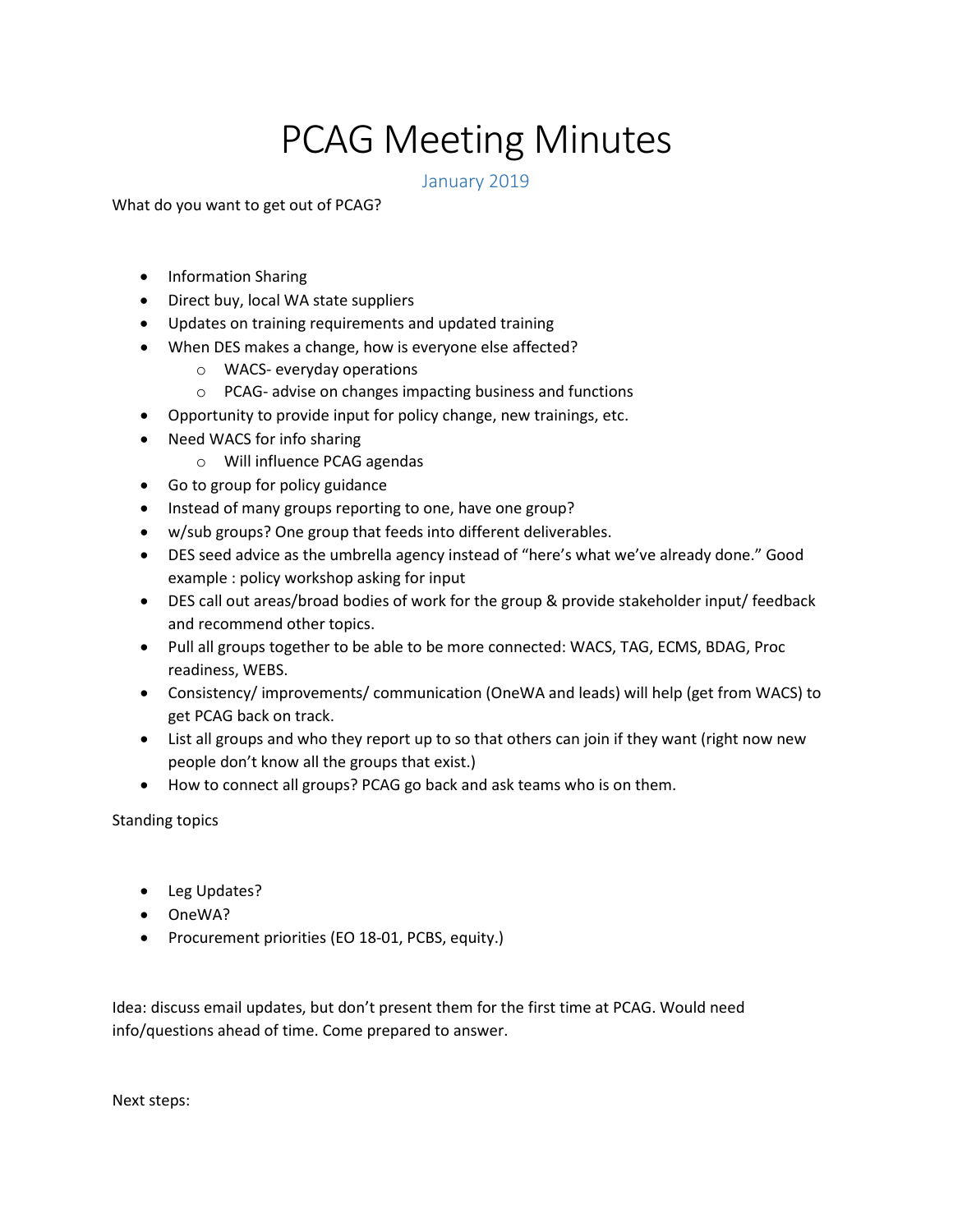## PCAG Meeting Minutes

January 2019

What do you want to get out of PCAG?

- Information Sharing
- Direct buy, local WA state suppliers
- Updates on training requirements and updated training
- When DES makes a change, how is everyone else affected?
	- o WACS- everyday operations
	- o PCAG- advise on changes impacting business and functions
- Opportunity to provide input for policy change, new trainings, etc.
- Need WACS for info sharing
	- o Will influence PCAG agendas
- Go to group for policy guidance
- Instead of many groups reporting to one, have one group?
- w/sub groups? One group that feeds into different deliverables.
- DES seed advice as the umbrella agency instead of "here's what we've already done." Good example : policy workshop asking for input
- DES call out areas/broad bodies of work for the group & provide stakeholder input/ feedback and recommend other topics.
- Pull all groups together to be able to be more connected: WACS, TAG, ECMS, BDAG, Proc readiness, WEBS.
- Consistency/ improvements/ communication (OneWA and leads) will help (get from WACS) to get PCAG back on track.
- List all groups and who they report up to so that others can join if they want (right now new people don't know all the groups that exist.)
- How to connect all groups? PCAG go back and ask teams who is on them.

Standing topics

- Leg Updates?
- OneWA?
- Procurement priorities (EO 18-01, PCBS, equity.)

Idea: discuss email updates, but don't present them for the first time at PCAG. Would need info/questions ahead of time. Come prepared to answer.

Next steps: